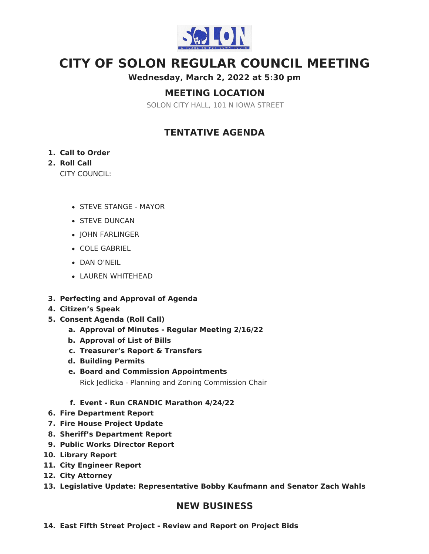

# **CITY OF SOLON REGULAR COUNCIL MEETING**

**Wednesday, March 2, 2022 at 5:30 pm**

# **MEETING LOCATION**

SOLON CITY HALL, 101 N IOWA STREET

# **TENTATIVE AGENDA**

### **1. Call to Order**

# **2. Roll Call**

CITY COUNCIL:

- STEVE STANGE MAYOR
- **STEVE DUNCAN**
- JOHN FARLINGER
- COLE GABRIEL
- DAN O'NEIL
- LAUREN WHITEHEAD
- **3. Perfecting and Approval of Agenda**
- **4. Citizen's Speak**
- **5. Consent Agenda (Roll Call)**
	- **a. Approval of Minutes - Regular Meeting 2/16/22**
	- **b. Approval of List of Bills**
	- **c. Treasurer's Report & Transfers**
	- **d. Building Permits**
	- **e. Board and Commission Appointments** Rick Jedlicka - Planning and Zoning Commission Chair
	- **f. Event - Run CRANDIC Marathon 4/24/22**
- **6. Fire Department Report**
- **7. Fire House Project Update**
- **8. Sheriff's Department Report**
- **9. Public Works Director Report**
- **10. Library Report**
- **11. City Engineer Report**
- **12. City Attorney**
- **13. Legislative Update: Representative Bobby Kaufmann and Senator Zach Wahls**

# **NEW BUSINESS**

**14. East Fifth Street Project - Review and Report on Project Bids**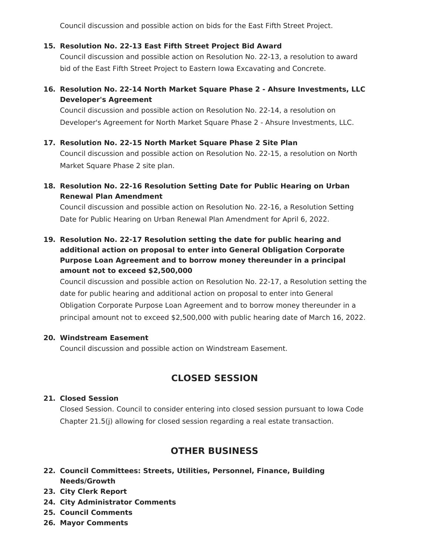Council discussion and possible action on bids for the East Fifth Street Project.

#### **15. Resolution No. 22-13 East Fifth Street Project Bid Award**

Council discussion and possible action on Resolution No. 22-13, a resolution to award bid of the East Fifth Street Project to Eastern Iowa Excavating and Concrete.

**16. Resolution No. 22-14 North Market Square Phase 2 - Ahsure Investments, LLC Developer's Agreement**

Council discussion and possible action on Resolution No. 22-14, a resolution on Developer's Agreement for North Market Square Phase 2 - Ahsure Investments, LLC.

#### **17. Resolution No. 22-15 North Market Square Phase 2 Site Plan**

Council discussion and possible action on Resolution No. 22-15, a resolution on North Market Square Phase 2 site plan.

### **18. Resolution No. 22-16 Resolution Setting Date for Public Hearing on Urban Renewal Plan Amendment**

Council discussion and possible action on Resolution No. 22-16, a Resolution Setting Date for Public Hearing on Urban Renewal Plan Amendment for April 6, 2022.

# **19. Resolution No. 22-17 Resolution setting the date for public hearing and additional action on proposal to enter into General Obligation Corporate Purpose Loan Agreement and to borrow money thereunder in a principal amount not to exceed \$2,500,000**

Council discussion and possible action on Resolution No. 22-17, a Resolution setting the date for public hearing and additional action on proposal to enter into General Obligation Corporate Purpose Loan Agreement and to borrow money thereunder in a principal amount not to exceed \$2,500,000 with public hearing date of March 16, 2022.

#### **20. Windstream Easement**

Council discussion and possible action on Windstream Easement.

# **CLOSED SESSION**

#### **21. Closed Session**

Closed Session. Council to consider entering into closed session pursuant to Iowa Code Chapter 21.5(j) allowing for closed session regarding a real estate transaction.

# **OTHER BUSINESS**

- **22. Council Committees: Streets, Utilities, Personnel, Finance, Building Needs/Growth**
- **23. City Clerk Report**
- **24. City Administrator Comments**
- **25. Council Comments**
- **26. Mayor Comments**